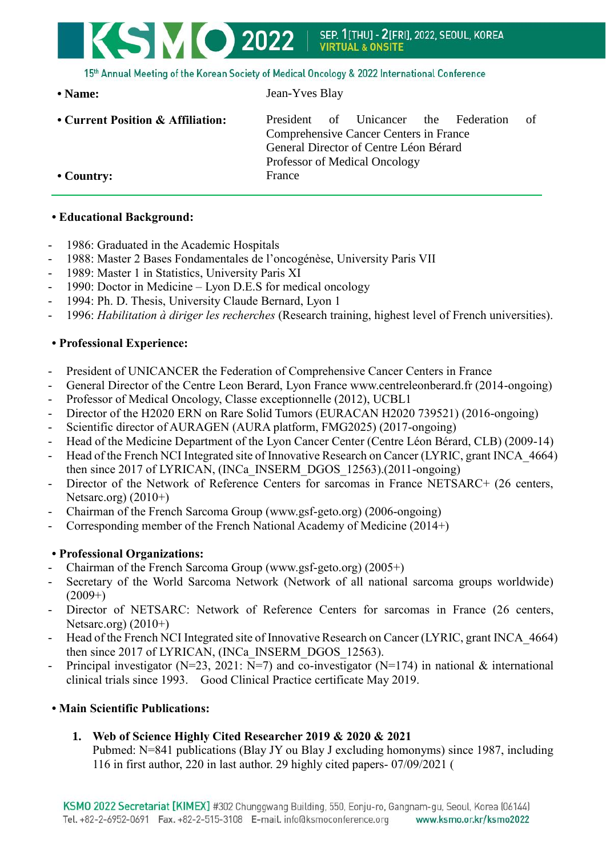# **KSMO 2022** SEP. 1[THU] - 2[FRI]. 2022. SEOUL. KOREA **VIRTUAL & ONSITE**

15th Annual Meeting of the Korean Society of Medical Oncology & 2022 International Conference

**• Current Position & Affiliation:** President of Unicancer the Federation of Comprehensive Cancer Centers in France General Director of Centre Léon Bérard Professor of Medical Oncology • Country: France

### **• Educational Background:**

- 1986: Graduated in the Academic Hospitals
- 1988: Master 2 Bases Fondamentales de l'oncogénèse, University Paris VII
- 1989: Master 1 in Statistics, University Paris XI
- 1990: Doctor in Medicine Lyon D.E.S for medical oncology
- 1994: Ph. D. Thesis, University Claude Bernard, Lyon 1

**• Name:** Jean-Yves Blay

- 1996: *Habilitation à diriger les recherches* (Research training, highest level of French universities).

## **• Professional Experience:**

- President of UNICANCER the Federation of Comprehensive Cancer Centers in France
- General Director of the Centre Leon Berard, Lyon France www.centreleonberard.fr (2014-ongoing)
- Professor of Medical Oncology, Classe exceptionnelle (2012), UCBL1
- Director of the H2020 ERN on Rare Solid Tumors (EURACAN H2020 739521) (2016-ongoing)
- Scientific director of AURAGEN (AURA platform, FMG2025) (2017-ongoing)
- Head of the Medicine Department of the Lyon Cancer Center (Centre Léon Bérard, CLB) (2009-14)
- Head of the French NCI Integrated site of Innovative Research on Cancer (LYRIC, grant INCA 4664) then since 2017 of LYRICAN, (INCa\_INSERM\_DGOS\_12563).(2011-ongoing)
- Director of the Network of Reference Centers for sarcomas in France NETSARC+ (26 centers, Netsarc.org)  $(2010+)$
- Chairman of the French Sarcoma Group (www.gsf-geto.org) (2006-ongoing)
- Corresponding member of the French National Academy of Medicine (2014+)

## **• Professional Organizations:**

- Chairman of the French Sarcoma Group (www.gsf-geto.org) (2005+)
- Secretary of the World Sarcoma Network (Network of all national sarcoma groups worldwide)  $(2009+)$
- Director of NETSARC: Network of Reference Centers for sarcomas in France (26 centers, Netsarc.org)  $(2010+)$
- Head of the French NCI Integrated site of Innovative Research on Cancer (LYRIC, grant INCA 4664) then since 2017 of LYRICAN, (INCa\_INSERM\_DGOS\_12563).
- Principal investigator (N=23, 2021:  $\overline{N}$ =7) and co-investigator (N=174) in national & international clinical trials since 1993. Good Clinical Practice certificate May 2019.

## **• Main Scientific Publications:**

## **1. Web of Science Highly Cited Researcher 2019 & 2020 & 2021**

Pubmed: N=841 publications (Blay JY ou Blay J excluding homonyms) since 1987, including 116 in first author, 220 in last author. 29 highly cited papers- 07/09/2021 (